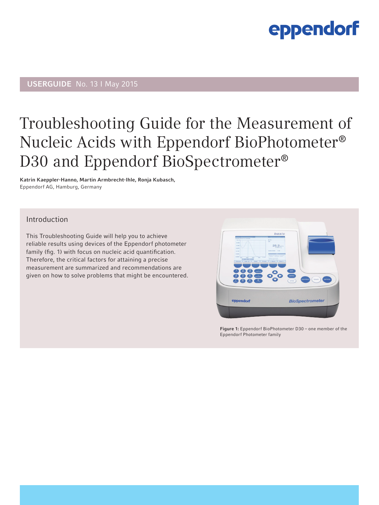## USERGUIDE No. 13 I May 2015

## Troubleshooting Guide for the Measurement of Nucleic Acids with Eppendorf BioPhotometer® D30 and Eppendorf BioSpectrometer®

Katrin Kaeppler-Hanno, Martin Armbrecht-Ihle, Ronja Kubasch, Eppendorf AG, Hamburg, Germany

### Introduction

This Troubleshooting Guide will help you to achieve reliable results using devices of the Eppendorf photometer family (fig. 1) with focus on nucleic acid quantification. Therefore, the critical factors for attaining a precise measurement are summarized and recommendations are given on how to solve problems that might be encountered.



Figure 1: Eppendorf BioPhotometer D30 – one member of the Eppendorf Photometer family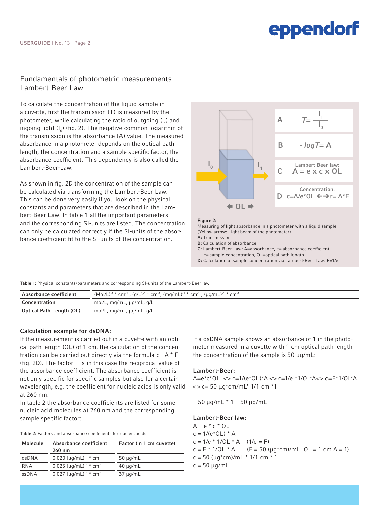### Fundamentals of photometric measurements - Lambert-Beer Law

To calculate the concentration of the liquid sample in a cuvette, first the transmission (T) is measured by the photometer, while calculating the ratio of outgoing (l<sub>1</sub>) and ingoing light  $(I_0)$  (fig. 2). The negative common logarithm of the transmission is the absorbance (A) value. The measured absorbance in a photometer depends on the optical path length, the concentration and a sample specific factor, the absorbance coefficient. This dependency is also called the Lambert-Beer-Law.

As shown in fig. 2D the concentration of the sample can be calculated via transforming the Lambert-Beer Law. This can be done very easily if you look on the physical constants and parameters that are described in the Lambert-Beer Law. In table 1 all the important parameters and the corresponding SI-units are listed. The concentration can only be calculated correctly if the SI-units of the absorbance coefficient fit to the SI-units of the concentration.



D: Calculation of sample concentration via Lambert-Beer Law: F=1/e

Table 1: Physical constants/parameters and corresponding SI-units of the Lambert-Beer law.

| Absorbance coefficient   | $(Mol/L)^{-1}$ * cm <sup>-1</sup> , $(q/L)^{-1}$ * cm <sup>-1</sup> , $(mq/mL)^{-1}$ * cm <sup>-1</sup> , $(uq/mL)^{-1}$ * cm <sup>-1</sup> |
|--------------------------|---------------------------------------------------------------------------------------------------------------------------------------------|
| Concentration            | mol/L, mg/mL, µg/mL, g/L                                                                                                                    |
| Optical Path Length (OL) | mol/L, mg/mL, μg/mL, g/L                                                                                                                    |

#### Calculation example for dsDNA:

If the measurement is carried out in a cuvette with an optical path length (OL) of 1 cm, the calculation of the concentration can be carried out directly via the formula  $c = A * F$ (fig. 2D). The factor F is in this case the reciprocal value of the absorbance coefficient. The absorbance coefficient is not only specific for specific samples but also for a certain wavelength, e.g. the coefficient for nucleic acids is only valid at 260 nm.

In table 2 the absorbance coefficients are listed for some nucleic acid molecules at 260 nm and the corresponding sample specific factor:

Table 2: Factors and absorbance coefficients for nucleic acids

| Molecule | Absorbance coefficient<br>260 nm                      | Factor (in 1 cm cuvette) |
|----------|-------------------------------------------------------|--------------------------|
| dsDNA    | 0.020 ( $\mu q/mL$ ) <sup>-1</sup> * cm <sup>-1</sup> | $50 \mu q/mL$            |
| RNA      | $0.025$ (µg/mL) <sup>-1</sup> * cm <sup>-1</sup>      | $40 \mu q/mL$            |
| ssDNA    | 0.027 $(\mu q/mL)^{-1}$ * cm <sup>-1</sup>            | $37 \mu q/mL$            |

If a dsDNA sample shows an absorbance of 1 in the photometer measured in a cuvette with 1 cm optical path length the concentration of the sample is 50 µg/mL:

#### Lambert-Beer:

A=e\*c\*OL <> c=1/(e\*OL)\*A <> c=1/e \*1/OL\*A<> c=F\*1/OL\*A  $\ll$  c= 50  $\mu$ g\*cm/mL\* 1/1 cm \*1

 $= 50 \mu g/mL * 1 = 50 \mu g/mL$ 

#### Lambert-Beer law:

 $A = e * c * OL$  $c = 1/(e^*OL) * A$  $c = 1/e * 1/OL * A$  (1/e = F)  $c = F * 1/OL * A$  (F = 50 ( $\mu q * cm$ )/mL, OL = 1 cm A = 1)  $c = 50$  ( $\mu q^*$ cm)/mL  $*$  1/1 cm  $*$  1  $c = 50 \mu g/mL$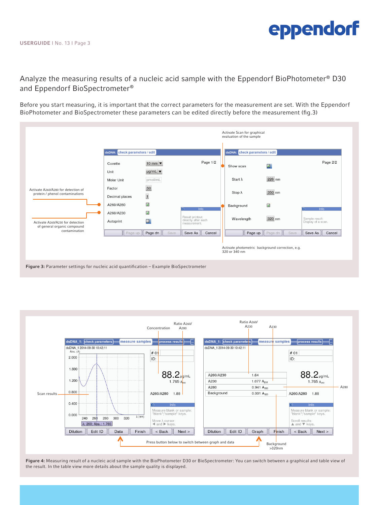### Analyze the measuring results of a nucleic acid sample with the Eppendorf BioPhotometer® D30 and Eppendorf BioSpectrometer®

Before you start measuring, it is important that the correct parameters for the measurement are set. With the Eppendorf BioPhotometer and BioSpectrometer these parameters can be edited directly before the measurement (fig.3)







Figure 4: Measuring result of a nucleic acid sample with the BioPhotometer D30 or BioSpectrometer: You can switch between a graphical and table view of the result. In the table view more details about the sample quality is displayed.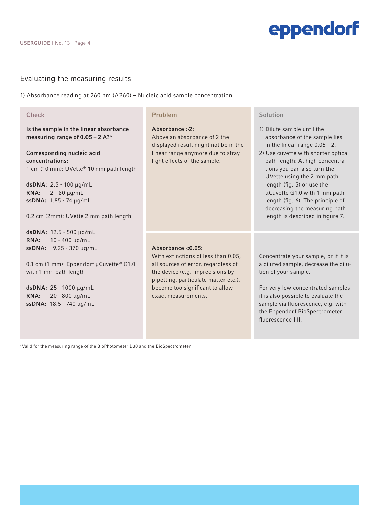### Evaluating the measuring results

1) Absorbance reading at 260 nm (A260) – Nucleic acid sample concentration

#### **Check**

Is the sample in the linear absorbance measuring range of 0.05 – 2 A?\*

Corresponding nucleic acid concentrations: 1 cm (10 mm): UVette® 10 mm path length

dsDNA: 2.5 - 100 µg/mL RNA: 2 - 80 µg/mL ssDNA: 1.85 - 74 µg/mL

0.2 cm (2mm): UVette 2 mm path length

dsDNA: 12.5 - 500 µg/mL RNA: 10 - 400 µg/mL ssDNA: 9.25 - 370 µg/mL

0.1 cm (1 mm): Eppendorf µCuvette® G1.0 with 1 mm path length

dsDNA: 25 - 1000 µg/mL RNA: 20 - 800 µg/mL ssDNA: 18.5 - 740 µg/mL

#### Problem

#### Absorbance >2:

Above an absorbance of 2 the displayed result might not be in the linear range anymore due to stray light effects of the sample.

#### Absorbance <0.05:

With extinctions of less than 0.05, all sources of error, regardless of the device (e.g. imprecisions by pipetting, particulate matter etc.), become too significant to allow exact measurements.

Solution

- 1) Dilute sample until the absorbance of the sample lies in the linear range 0.05 - 2.
- 2) Use cuvette with shorter optical path length: At high concentra tions you can also turn the UVette using the 2 mm path length (fig. 5) or use the µCuvette G1.0 with 1 mm path length (fig. 6). The principle of decreasing the measuring path length is described in figure 7.

Concentrate your sample, or if it is a diluted sample, decrease the dilution of your sample.

For very low concentrated samples it is also possible to evaluate the sample via fluorescence, e.g. with the Eppendorf BioSpectrometer fluorescence [1].

\*Valid for the measuring range of the BioPhotometer D30 and the BioSpectrometer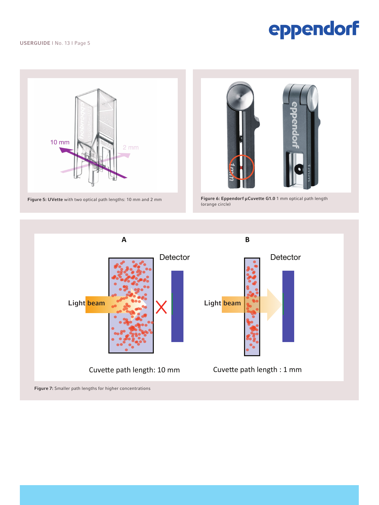USERGUIDE I No. 13 I Page 5

# eppendorf



Figure 5: UVette with two optical path lengths: 10 mm and 2 mm



Figure 6: Eppendorf µCuvette G1.0 1 mm optical path length<br>(orange circle)

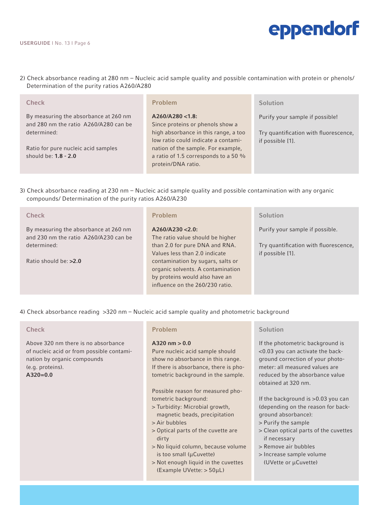2) Check absorbance reading at 280 nm – Nucleic acid sample quality and possible contamination with protein or phenols/ Determination of the purity ratios A260/A280

| <b>Check</b>                                                                                  | Problem                                                                                                                            | Solution                                                                                     |
|-----------------------------------------------------------------------------------------------|------------------------------------------------------------------------------------------------------------------------------------|----------------------------------------------------------------------------------------------|
| By measuring the absorbance at 260 nm<br>and 280 nm the ratio A260/A280 can be<br>determined: | A260/A280 < 1.8<br>Since proteins or phenols show a<br>high absorbance in this range, a too<br>low ratio could indicate a contami- | Purify your sample if possible!<br>Try quantification with fluorescence,<br>if possible [1]. |
| Ratio for pure nucleic acid samples<br>should be: $1.8 - 2.0$                                 | nation of the sample. For example,<br>a ratio of 1.5 corresponds to a 50 %<br>protein/DNA ratio.                                   |                                                                                              |

3) Check absorbance reading at 230 nm – Nucleic acid sample quality and possible contamination with any organic compounds/ Determination of the purity ratios A260/A230

| <b>Check</b>                                                                   | Problem                                                                                                | Solution                                                  |
|--------------------------------------------------------------------------------|--------------------------------------------------------------------------------------------------------|-----------------------------------------------------------|
| By measuring the absorbance at 260 nm<br>and 230 nm the ratio A260/A230 can be | A260/A230 < 2.0<br>The ratio value should be higher                                                    | Purify your sample if possible.                           |
| determined:                                                                    | than 2.0 for pure DNA and RNA.<br>Values less than 2.0 indicate                                        | Try quantification with fluorescence,<br>if possible [1]. |
| Ratio should be: $>2.0$                                                        | contamination by sugars, salts or                                                                      |                                                           |
|                                                                                | organic solvents. A contamination<br>by proteins would also have an<br>influence on the 260/230 ratio. |                                                           |

4) Check absorbance reading >320 nm – Nucleic acid sample quality and photometric background

#### **Check**

Above 320 nm there is no absorbance of nucleic acid or from possible contamination by organic compounds (e.g. proteins). A320=0.0

#### Problem

#### A320 nm  $> 0.0$

Pure nucleic acid sample should show no absorbance in this range. If there is absorbance, there is photometric background in the sample.

Possible reason for measured photometric background:

- > Turbidity: Microbial growth, magnetic beads, precipitation
- > Air bubbles
- > Optical parts of the cuvette are dirty
- > No liquid column, because volume is too small (µCuvette)
- > Not enough liquid in the cuvettes (Example UVette: > 50µL)

#### **Solution**

If the photometric background is <0.03 you can activate the background correction of your photometer: all measured values are reduced by the absorbance value obtained at 320 nm.

If the background is >0.03 you can (depending on the reason for background absorbance):

- > Purify the sample
- > Clean optical parts of the cuvettes if necessary
- > Remove air bubbles
- > Increase sample volume
- (UVette or µCuvette)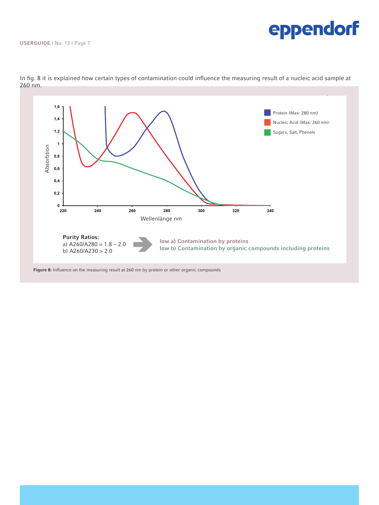USERGUIDE I No. 13 I Page 7



In fig. 8 it is explained how certain types of contamination could influence the measuring result of a nucleic acid sample at 260 nm.

Figure 8: Influence on the measuring result at 260 nm by protein or other organic compounds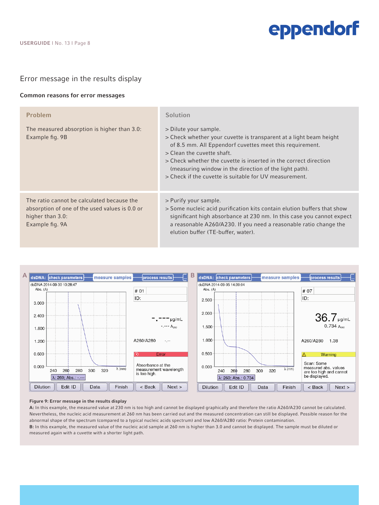

#### Error message in the results display

#### Common reasons for error messages

| <b>Problem</b><br>The measured absorption is higher than 3.0:<br>Example fig. 9B                                                    | Solution<br>> Dilute your sample.<br>> Check whether your cuvette is transparent at a light beam height<br>of 8.5 mm. All Eppendorf cuvettes meet this requirement.<br>> Clean the cuvette shaft.<br>> Check whether the cuvette is inserted in the correct direction<br>(measuring window in the direction of the light path).<br>> Check if the cuvette is suitable for UV measurement. |
|-------------------------------------------------------------------------------------------------------------------------------------|-------------------------------------------------------------------------------------------------------------------------------------------------------------------------------------------------------------------------------------------------------------------------------------------------------------------------------------------------------------------------------------------|
| The ratio cannot be calculated because the<br>absorption of one of the used values is 0.0 or<br>higher than 3.0:<br>Example fig. 9A | > Purify your sample.<br>> Some nucleic acid purification kits contain elution buffers that show<br>significant high absorbance at 230 nm. In this case you cannot expect<br>a reasonable A260/A230. If you need a reasonable ratio change the<br>elution buffer (TE-buffer, water).                                                                                                      |



#### Figure 9: Error message in the results display

A: In this example, the measured value at 230 nm is too high and cannot be displayed graphically and therefore the ratio A260/A230 cannot be calculated. Nevertheless, the nucleic acid measurement at 260 nm has been carried out and the measured concentration can still be displayed. Possible reason for the abnormal shape of the spectrum (compared to a typical nucleic acids spectrum) and low A260/A280 ratio: Protein contamination. B: In this example, the measured value of the nucleic acid sample at 260 nm is higher than 3.0 and cannot be displayed. The sample must be diluted or measured again with a cuvette with a shorter light path.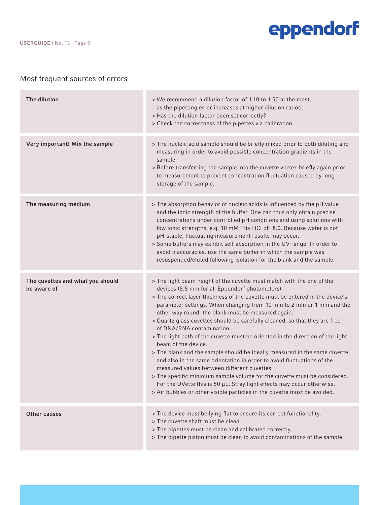#### USERGUIDE I No. 13 I Page 9

## eppendorf

## Most frequent sources of errors

| The dilution                                    | > We recommend a dilution factor of 1:10 to 1:50 at the most,<br>as the pipetting error increases at higher dilution ratios.<br>> Has the dilution factor been set correctly?<br>> Check the correctness of the pipettes via calibration.                                                                                                                                                                                                                                                                                                                                                                                                                                                                                                                                                                                                                                                                                                                                                               |
|-------------------------------------------------|---------------------------------------------------------------------------------------------------------------------------------------------------------------------------------------------------------------------------------------------------------------------------------------------------------------------------------------------------------------------------------------------------------------------------------------------------------------------------------------------------------------------------------------------------------------------------------------------------------------------------------------------------------------------------------------------------------------------------------------------------------------------------------------------------------------------------------------------------------------------------------------------------------------------------------------------------------------------------------------------------------|
| Very important! Mix the sample                  | > The nucleic acid sample should be briefly mixed prior to both diluting and<br>measuring in order to avoid possible concentration gradients in the<br>sample.<br>> Before transferring the sample into the cuvette vortex briefly again prior<br>to measurement to prevent concentration fluctuation caused by long<br>storage of the sample.                                                                                                                                                                                                                                                                                                                                                                                                                                                                                                                                                                                                                                                          |
| The measuring medium                            | > The absorption behavior of nucleic acids is influenced by the pH value<br>and the ionic strength of the buffer. One can thus only obtain precise<br>concentrations under controlled pH conditions and using solutions with<br>low ionic strengths, e.g. 10 mM Tris-HCl pH 8.0. Because water is not<br>pH-stable, fluctuating measurement results may occur.<br>> Some buffers may exhibit self-absorption in the UV range. In order to<br>avoid inaccuracies, use the same buffer in which the sample was<br>resuspended/eluted following isolation for the blank and the sample.                                                                                                                                                                                                                                                                                                                                                                                                                    |
| The cuvettes and what you should<br>be aware of | > The light beam height of the cuvette must match with the one of the<br>devices (8.5 mm for all Eppendorf photometers).<br>> The correct layer thickness of the cuvette must be entered in the device's<br>parameter settings. When changing from 10 mm to 2 mm or 1 mm and the<br>other way round, the blank must be measured again.<br>> Quartz glass cuvettes should be carefully cleaned, so that they are free<br>of DNA/RNA contamination.<br>> The light path of the cuvette must be oriented in the direction of the light<br>beam of the device.<br>> The blank and the sample should be ideally measured in the same cuvette<br>and also in the same orientation in order to avoid fluctuations of the<br>measured values between different cuvettes.<br>> The specific minimum sample volume for the cuvette must be considered.<br>For the UVette this is 50 $\mu$ L. Stray light effects may occur otherwise.<br>> Air bubbles or other visible particles in the cuvette must be avoided. |
| <b>Other causes</b>                             | > The device must be lying flat to ensure its correct functionality.<br>> The cuvette shaft must be clean.<br>> The pipettes must be clean and calibrated correctly.<br>> The pipette piston must be clean to avoid contaminations of the sample.                                                                                                                                                                                                                                                                                                                                                                                                                                                                                                                                                                                                                                                                                                                                                       |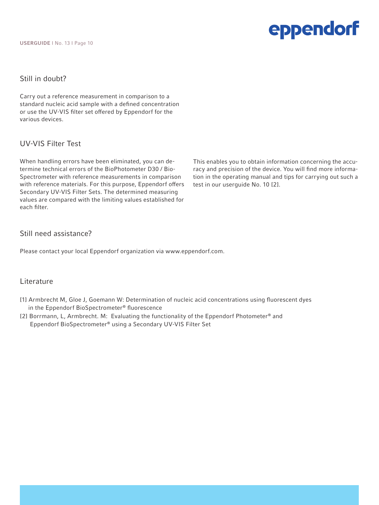USERGUIDE I No. 13 I Page 10

## eppendorf

### Still in doubt?

Carry out a reference measurement in comparison to a standard nucleic acid sample with a defined concentration or use the UV-VIS filter set offered by Eppendorf for the various devices.

### UV-VIS Filter Test

When handling errors have been eliminated, you can determine technical errors of the BioPhotometer D30 / Bio-Spectrometer with reference measurements in comparison with reference materials. For this purpose, Eppendorf offers Secondary UV-VIS Filter Sets. The determined measuring values are compared with the limiting values established for each filter.

This enables you to obtain information concerning the accuracy and precision of the device. You will find more information in the operating manual and tips for carrying out such a test in our userguide No. 10 [2].

### Still need assistance?

Please contact your local Eppendorf organization via www.eppendorf.com.

### Literature

- [1] Armbrecht M, Gloe J, Goemann W: Determination of nucleic acid concentrations using fluorescent dyes in the Eppendorf BioSpectrometer® fluorescence
- [2] Borrmann, L, Armbrecht. M: Evaluating the functionality of the Eppendorf Photometer® and Eppendorf BioSpectrometer® using a Secondary UV-VIS Filter Set